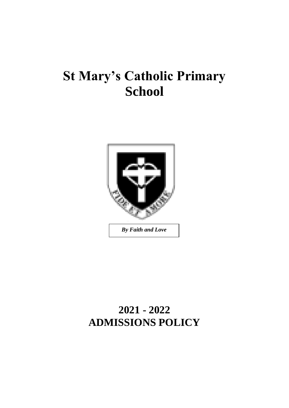# **St Mary's Catholic Primary School**



# **2021 - 2022 ADMISSIONS POLICY**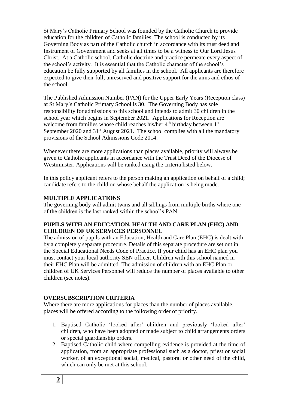St Mary's Catholic Primary School was founded by the Catholic Church to provide education for the children of Catholic families. The school is conducted by its Governing Body as part of the Catholic church in accordance with its trust deed and Instrument of Government and seeks at all times to be a witness to Our Lord Jesus Christ. At a Catholic school, Catholic doctrine and practice permeate every aspect of the school's activity. It is essential that the Catholic character of the school's education be fully supported by all families in the school. All applicants are therefore expected to give their full, unreserved and positive support for the aims and ethos of the school.

The Published Admission Number (PAN) for the Upper Early Years (Reception class) at St Mary's Catholic Primary School is 30. The Governing Body has sole responsibility for admissions to this school and intends to admit 30 children in the school year which begins in September 2021. Applications for Reception are welcome from families whose child reaches his/her 4<sup>th</sup> birthday between 1<sup>st</sup> September 2020 and  $31<sup>st</sup>$  August 2021. The school complies with all the mandatory provisions of the School Admissions Code 2014.

Whenever there are more applications than places available, priority will always be given to Catholic applicants in accordance with the Trust Deed of the Diocese of Westminster. Applications will be ranked using the criteria listed below.

In this policy applicant refers to the person making an application on behalf of a child; candidate refers to the child on whose behalf the application is being made.

# **MULTIPLE APPLICATIONS**

The governing body will admit twins and all siblings from multiple births where one of the children is the last ranked within the school's PAN.

#### **PUPILS WITH AN EDUCATION, HEALTH AND CARE PLAN (EHC) AND CHILDREN OF UK SERVICES PERSONNEL**

The admission of pupils with an Education, Health and Care Plan (EHC) is dealt with by a completely separate procedure. Details of this separate procedure are set out in the Special Educational Needs Code of Practice. If your child has an EHC plan you must contact your local authority SEN officer. Children with this school named in their EHC Plan will be admitted. The admission of children with an EHC Plan or children of UK Services Personnel will reduce the number of places available to other children (see notes).

#### **OVERSUBSCRIPTION CRITERIA**

Where there are more applications for places than the number of places available, places will be offered according to the following order of priority.

- 1. Baptised Catholic 'looked after' children and previously 'looked after' children, who have been adopted or made subject to child arrangements orders or special guardianship orders.
- 2. Baptised Catholic child where compelling evidence is provided at the time of application, from an appropriate professional such as a doctor, priest or social worker, of an exceptional social, medical, pastoral or other need of the child, which can only be met at this school.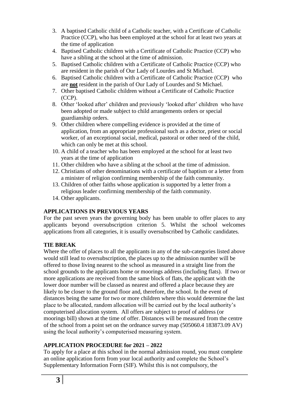- 3. A baptised Catholic child of a Catholic teacher, with a Certificate of Catholic Practice (CCP), who has been employed at the school for at least two years at the time of application
- 4. Baptised Catholic children with a Certificate of Catholic Practice (CCP) who have a sibling at the school at the time of admission.
- 5. Baptised Catholic children with a Certificate of Catholic Practice (CCP) who are resident in the parish of Our Lady of Lourdes and St Michael.
- 6. Baptised Catholic children with a Certificate of Catholic Practice (CCP) who are **not** resident in the parish of Our Lady of Lourdes and St Michael.
- 7. Other baptised Catholic children without a Certificate of Catholic Practice (CCP).
- 8. Other 'looked after' children and previously 'looked after' children who have been adopted or made subject to child arrangements orders or special guardianship orders.
- 9. Other children where compelling evidence is provided at the time of application, from an appropriate professional such as a doctor, priest or social worker, of an exceptional social, medical, pastoral or other need of the child, which can only be met at this school.
- 10. A child of a teacher who has been employed at the school for at least two years at the time of application
- 11. Other children who have a sibling at the school at the time of admission.
- 12. Christians of other denominations with a certificate of baptism or a letter from a minister of religion confirming membership of the faith community.
- 13. Children of other faiths whose application is supported by a letter from a religious leader confirming membership of the faith community.
- 14. Other applicants.

# **APPLICATIONS IN PREVIOUS YEARS**

For the past seven years the governing body has been unable to offer places to any applicants beyond oversubscription criterion 5. Whilst the school welcomes applications from all categories, it is usually oversubscribed by Catholic candidates.

# **TIE BREAK**

Where the offer of places to all the applicants in any of the sub-categories listed above would still lead to oversubscription, the places up to the admission number will be offered to those living nearest to the school as measured in a straight line from the school grounds to the applicants home or moorings address (including flats). If two or more applications are received from the same block of flats, the applicant with the lower door number will be classed as nearest and offered a place because they are likely to be closer to the ground floor and, therefore, the school. In the event of distances being the same for two or more children where this would determine the last place to be allocated, random allocation will be carried out by the local authority's computerised allocation system. All offers are subject to proof of address (or moorings bill) shown at the time of offer. Distances will be measured from the centre of the school from a point set on the ordnance survey map (505060.4 183873.09 AV) using the local authority's computerised measuring system.

# **APPLICATION PROCEDURE for 2021 – 2022**

To apply for a place at this school in the normal admission round, you must complete an online application form from your local authority and complete the School's Supplementary Information Form (SIF). Whilst this is not compulsory, the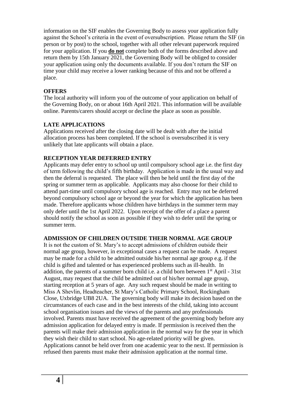information on the SIF enables the Governing Body to assess your application fully against the School's criteria in the event of oversubscription. Please return the SIF (in person or by post) to the school, together with all other relevant paperwork required for your application. If you **do not** complete both of the forms described above and return them by 15th January 2021, the Governing Body will be obliged to consider your application using only the documents available. If you don't return the SIF on time your child may receive a lower ranking because of this and not be offered a place.

#### **OFFERS**

The local authority will inform you of the outcome of your application on behalf of the Governing Body, on or about 16th April 2021. This information will be available online. Parents/carers should accept or decline the place as soon as possible.

#### **LATE APPLICATIONS**

Applications received after the closing date will be dealt with after the initial allocation process has been completed. If the school is oversubscribed it is very unlikely that late applicants will obtain a place.

#### **RECEPTION YEAR DEFERRED ENTRY**

Applicants may defer entry to school up until compulsory school age i.e. the first day of term following the child's fifth birthday. Application is made in the usual way and then the deferral is requested. The place will then be held until the first day of the spring or summer term as applicable. Applicants may also choose for their child to attend part-time until compulsory school age is reached. Entry may not be deferred beyond compulsory school age or beyond the year for which the application has been made. Therefore applicants whose children have birthdays in the summer term may only defer until the 1st April 2022. Upon receipt of the offer of a place a parent should notify the school as soon as possible if they wish to defer until the spring or summer term.

#### **ADMISSION OF CHILDREN OUTSIDE THEIR NORMAL AGE GROUP**

It is not the custom of St. Mary's to accept admissions of children outside their normal age group, however, in exceptional cases a request can be made. A request may be made for a child to be admitted outside his/her normal age group e.g. if the child is gifted and talented or has experienced problems such as ill-health. In addition, the parents of a summer born child i.e. a child born between 1<sup>st</sup> April - 31st August, may request that the child be admitted out of his/her normal age group, starting reception at 5 years of age. Any such request should be made in writing to Miss A Shevlin, Headteacher, St Mary's Catholic Primary School, Rockingham Close, Uxbridge UB8 2UA. The governing body will make its decision based on the circumstances of each case and in the best interests of the child, taking into account school organisation issues and the views of the parents and any professionals involved. Parents must have received the agreement of the governing body before any admission application for delayed entry is made. If permission is received then the parents will make their admission application in the normal way for the year in which they wish their child to start school. No age-related priority will be given. Applications cannot be held over from one academic year to the next. If permission is refused then parents must make their admission application at the normal time.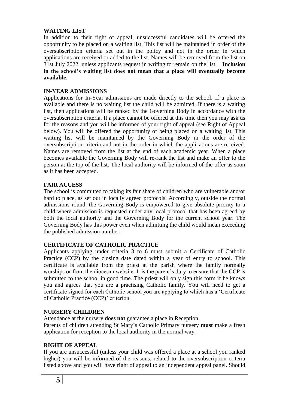#### **WAITING LIST**

In addition to their right of appeal, unsuccessful candidates will be offered the opportunity to be placed on a waiting list. This list will be maintained in order of the oversubscription criteria set out in the policy and not in the order in which applications are received or added to the list. Names will be removed from the list on 31st July 2022, unless applicants request in writing to remain on the list. **Inclusion in the school's waiting list does not mean that a place will eventually become available.**

# **IN-YEAR ADMISSIONS**

Applications for In-Year admissions are made directly to the school. If a place is available and there is no waiting list the child will be admitted. If there is a waiting list, then applications will be ranked by the Governing Body in accordance with the oversubscription criteria. If a place cannot be offered at this time then you may ask us for the reasons and you will be informed of your right of appeal (see Right of Appeal below). You will be offered the opportunity of being placed on a waiting list. This waiting list will be maintained by the Governing Body in the order of the oversubscription criteria and not in the order in which the applications are received. Names are removed from the list at the end of each academic year. When a place becomes available the Governing Body will re-rank the list and make an offer to the person at the top of the list. The local authority will be informed of the offer as soon as it has been accepted.

# **FAIR ACCESS**

The school is committed to taking its fair share of children who are vulnerable and/or hard to place, as set out in locally agreed protocols. Accordingly, outside the normal admissions round, the Governing Body is empowered to give absolute priority to a child where admission is requested under any local protocol that has been agreed by both the local authority and the Governing Body for the current school year. The Governing Body has this power even when admitting the child would mean exceeding the published admission number.

#### **CERTIFICATE OF CATHOLIC PRACTICE**

Applicants applying under criteria 3 to 6 must submit a Certificate of Catholic Practice (CCP) by the closing date dated within a year of entry to school. This certificate is available from the priest at the parish where the family normally worships or from the diocesan website. It is the parent's duty to ensure that the CCP is submitted to the school in good time. The priest will only sign this form if he knows you and agrees that you are a practising Catholic family. You will need to get a certificate signed for each Catholic school you are applying to which has a 'Certificate of Catholic Practice (CCP)' criterion.

#### **NURSERY CHILDREN**

Attendance at the nursery **does not** guarantee a place in Reception.

Parents of children attending St Mary's Catholic Primary nursery **must** make a fresh application for reception to the local authority in the normal way.

# **RIGHT OF APPEAL**

If you are unsuccessful (unless your child was offered a place at a school you ranked higher) you will be informed of the reasons, related to the oversubscription criteria listed above and you will have right of appeal to an independent appeal panel. Should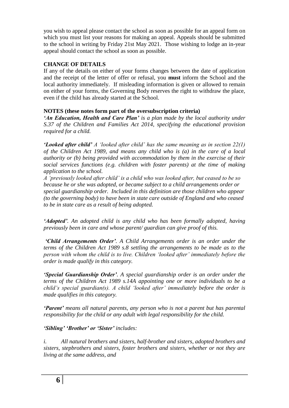you wish to appeal please contact the school as soon as possible for an appeal form on which you must list your reasons for making an appeal. Appeals should be submitted to the school in writing by Friday 21st May 2021. Those wishing to lodge an in-year appeal should contact the school as soon as possible.

# **CHANGE OF DETAILS**

If any of the details on either of your forms changes between the date of application and the receipt of the letter of offer or refusal, you **must** inform the School and the local authority immediately. If misleading information is given or allowed to remain on either of your forms, the Governing Body reserves the right to withdraw the place, even if the child has already started at the School.

# **NOTES (these notes form part of the oversubscription criteria)**

*'An Education, Health and Care Plan' is a plan made by the local authority under S.37 of the Children and Families Act 2014, specifying the educational provision required for a child.*

*'Looked after child' A 'looked after child' has the same meaning as in section 22(1) of the Children Act 1989, and means any child who is (a) in the care of a local authority or (b) being provided with accommodation by them in the exercise of their social services functions (e.g. children with foster parents) at the time of making application to the school.* 

*A 'previously looked after child' is a child who was looked after, but ceased to be so because he or she was adopted, or became subject to a child arrangements order or special guardianship order. Included in this definition are those children who appear (to the governing body) to have been in state care outside of England and who ceased to be in state care as a result of being adopted.*

*'Adopted'. An adopted child is any child who has been formally adopted, having previously been in care and whose parent/ guardian can give proof of this.*

*'Child Arrangements Order'. A Child Arrangements order is an order under the terms of the Children Act 1989 s.8 settling the arrangements to be made as to the person with whom the child is to live. Children 'looked after' immediately before the order is made qualify in this category.*

*'Special Guardianship Order'. A special guardianship order is an order under the terms of the Children Act 1989 s.14A appointing one or more individuals to be a child's special guardian(s). A child 'looked after' immediately before the order is made qualifies in this category.*

*'Parent' means all natural parents, any person who is not a parent but has parental responsibility for the child or any adult with legal responsibility for the child.*

*'Sibling' 'Brother' or 'Sister' includes:*

*i. All natural brothers and sisters, half-brother and sisters, adopted brothers and sisters, stepbrothers and sisters, foster brothers and sisters, whether or not they are living at the same address, and*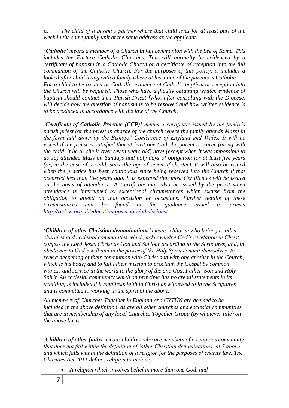*ii. The child of a parent's partner where that child lives for at least part of the week in the same family unit at the same address as the applicant.*

*'Catholic' means a member of a Church in full communion with the See of Rome. This includes the Eastern Catholic Churches. This will normally be evidenced by a certificate of baptism in a Catholic Church or a certificate of reception into the full communion of the Catholic Church. For the purposes of this policy, it includes a looked after child living with a family where at least one of the parents is Catholic. For a child to be treated as Catholic, evidence of Catholic baptism or reception into the Church will be required. Those who have difficulty obtaining written evidence of baptism should contact their Parish Priest [who, after consulting with the Diocese, will decide how the question of baptism is to be resolved and how written evidence is to be produced in accordance with the law of the Church.*

*'Certificate of Catholic Practice (CCP)' means a certificate issued by the family's parish priest (or the priest in charge of the church where the family attends Mass) in the form laid down by the Bishops' Conference of England and Wales. It will be issued if the priest is satisfied that at least one Catholic parent or carer (along with the child, if he or she is over seven years old) have (except when it was impossible to do so) attended Mass on Sundays and holy days of obligation for at least five years (or, in the case of a child, since the age of seven, if shorter). It will also be issued when the practice has been continuous since being received into the Church if that occurred less than five years ago. It is expected that most Certificates will be issued on the basis of attendance. A Certificate may also be issued by the priest when attendance is interrupted by exceptional circumstances which excuse from the obligation to attend on that occasion or occasions. Further details of these circumstances can be found in the guidance issued to priests <http://rcdow.org.uk/education/governors/admissions/>*

*'Children of other Christian denominations' means children who belong to other churches and ecclesial communities which, acknowledge God's revelation in Christ, confess the Lord Jesus Christ as God and Saviour according to the Scriptures, and, in obedience to God's will and in the power of the Holy Spirit commit themselves: to seek a deepening of their communion with Christ and with one another in the Church, which is his body; and to fulfil their mission to proclaim the Gospel by common witness and service in the world to the glory of the one God, Father, Son and Holy Spirit. An ecclesial community which on principle has no credal statements in its tradition, is included if it manifests faith in Christ as witnessed to in the Scriptures and is committed to working in the spirit of the above.*

*All members of Churches Together in England and CYTÛN are deemed to be included in the above definition, as are all other churches and ecclesial communities that are in membership of any local Churches Together Group (by whatever title) on the above basis.*

*'Children of other faiths' means children who are members of a religious community that does not fall within the definition of 'other Christian denominations' at 7 above and which falls within the definition of a religion for the purposes of charity law. The Charities Act 2011 defines religion to include:*

*A religion which involves belief in more than one God, and*